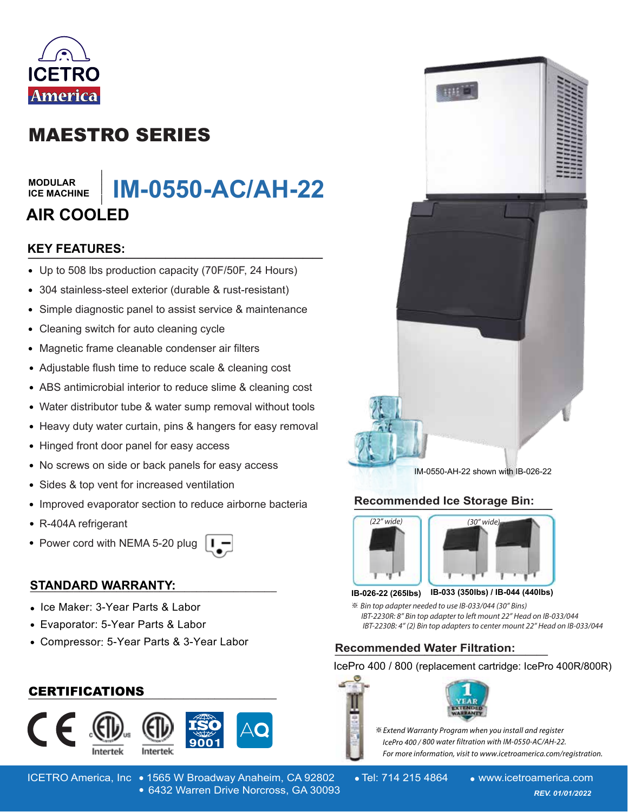

# MAESTRO SERIES

#### **MODULAR ICE MACHINE**

# **IM-0550-AC/AH-22** MODULAR<br>ICE MACHINE | **IM-0550-AC/AH-22**<br>AIR COOLED<br>KEY FEATURES: **AIR COOLED**

### **KEY FEATURES:**

- Up to 508 lbs production capacity (70F/50F, 24 Hours)
- 304 stainless-steel exterior (durable & rust-resistant)
- Simple diagnostic panel to assist service & maintenance  $\bullet$
- Cleaning switch for auto cleaning cycle  $\bullet$
- Magnetic frame cleanable condenser air filters  $\bullet$
- Adjustable flush time to reduce scale & cleaning cost
- ABS antimicrobial interior to reduce slime & cleaning cost
- Water distributor tube & water sump removal without tools
- Heavy duty water curtain, pins & hangers for easy removal
- Hinged front door panel for easy access
- No screws on side or back panels for easy access  $\bullet$
- Sides & top vent for increased ventilation
- Improved evaporator section to reduce airborne bacteria
- R-404A refrigerant
- Power cord with NEMA 5-20 plug



### **STANDARD WARRANTY: \_\_\_\_\_\_\_\_\_\_\_\_\_\_\_\_\_\_\_\_\_\_\_\_\_\_\_\_\_\_\_\_\_\_\_\_\_\_\_\_**

- Ice Maker: 3-Year Parts & Labor
- Evaporator: 5-Year Parts & Labor
- Compressor: 5-Year Parts & 3-Year Labor

### **\_\_\_\_\_\_\_\_\_\_\_\_\_\_\_\_\_\_\_\_\_\_\_\_\_\_\_\_\_\_\_\_\_\_\_\_\_\_\_\_** CERTIFICATIONS





ICETRO America, Inc • 1565 W Broadway Anaheim, CA 92802 • Tel: 714 215 4864 • www.icetroamerica.com 6432 Warren Drive Norcross, GA 30093 *REV. 01/01/2022* 6432 Warren Drive Norcross, GA 30093



IM-0550-AH-22 shown with IB-026-22

### **Recommended Ice Storage Bin: \_\_\_\_\_\_\_\_\_\_\_\_\_\_\_\_\_\_\_\_\_\_\_\_\_\_\_\_\_\_\_\_\_\_\_\_\_\_**



#### **IB-033 (350lbs) / IB-044 (440lbs) IB-026-22 (265lbs)**

※ *- IBT-2230R: 8" Bin top adapter to left mount 22" Head on IB-033/044* IBT-2230B: 4" (2) Bin top adapters to center mount 22" Head on IB-033/044

## **Recommended Water Filtration: \_\_\_\_\_\_\_\_\_\_\_\_\_\_\_\_\_\_\_**

IcePro 400 / 800 (replacement cartridge: IcePro 400R/800R)





**Extend Warranty Program when you install and register**  *---* For more information, visit to www.icetroamerica.com/registration.